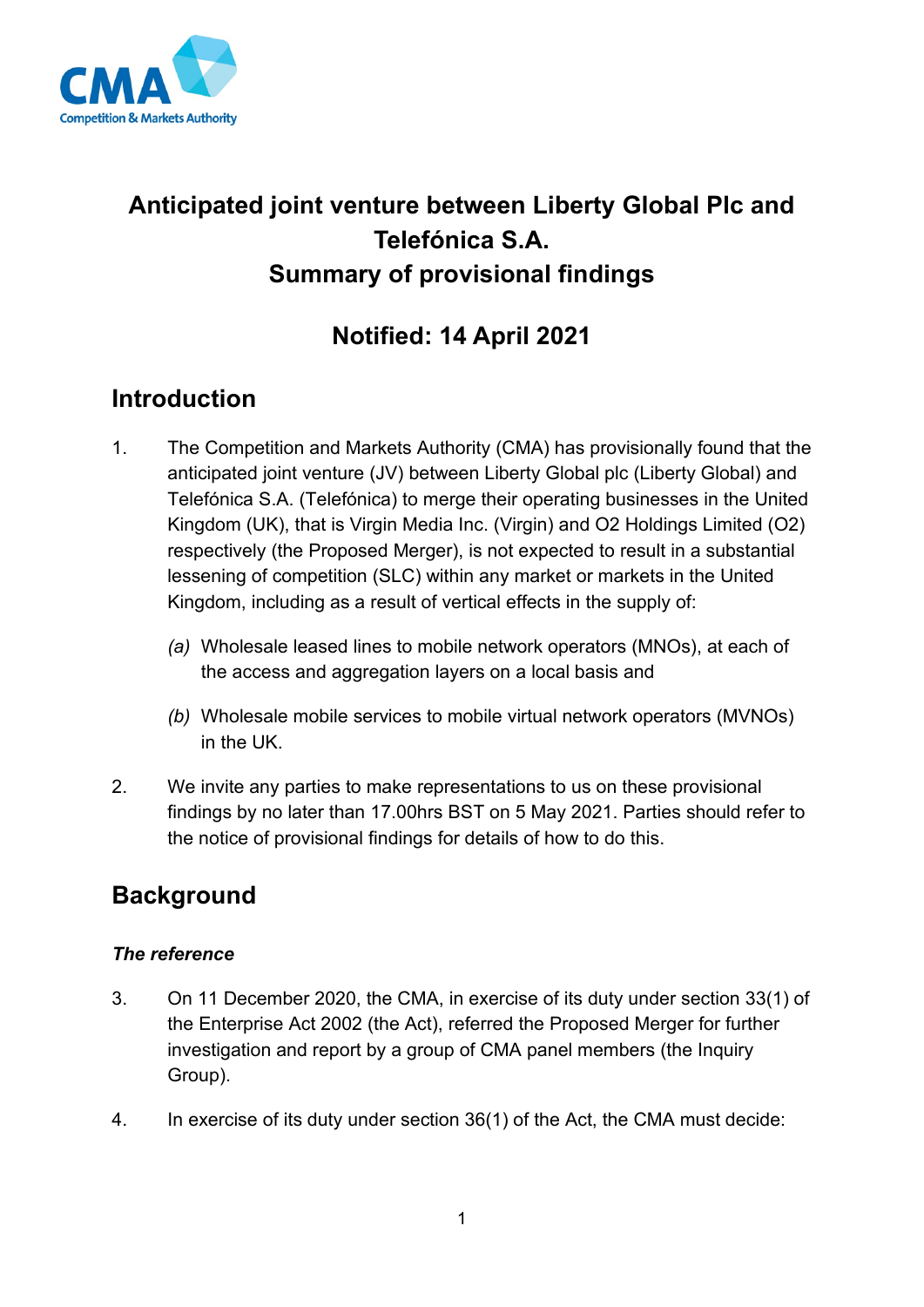

# **Anticipated joint venture between Liberty Global Plc and Telefónica S.A. Summary of provisional findings**

## **Notified: 14 April 2021**

### **Introduction**

- 1. The Competition and Markets Authority (CMA) has provisionally found that the anticipated joint venture (JV) between Liberty Global plc (Liberty Global) and Telefónica S.A. (Telefónica) to merge their operating businesses in the United Kingdom (UK), that is Virgin Media Inc. (Virgin) and O2 Holdings Limited (O2) respectively (the Proposed Merger), is not expected to result in a substantial lessening of competition (SLC) within any market or markets in the United Kingdom, including as a result of vertical effects in the supply of:
	- *(a)* Wholesale leased lines to mobile network operators (MNOs), at each of the access and aggregation layers on a local basis and
	- *(b)* Wholesale mobile services to mobile virtual network operators (MVNOs) in the UK.
- 2. We invite any parties to make representations to us on these provisional findings by no later than 17.00hrs BST on 5 May 2021. Parties should refer to the notice of provisional findings for details of how to do this.

## **Background**

### *The reference*

- 3. On 11 December 2020, the CMA, in exercise of its duty under section 33(1) of the Enterprise Act 2002 (the Act), referred the Proposed Merger for further investigation and report by a group of CMA panel members (the Inquiry Group).
- 4. In exercise of its duty under section 36(1) of the Act, the CMA must decide: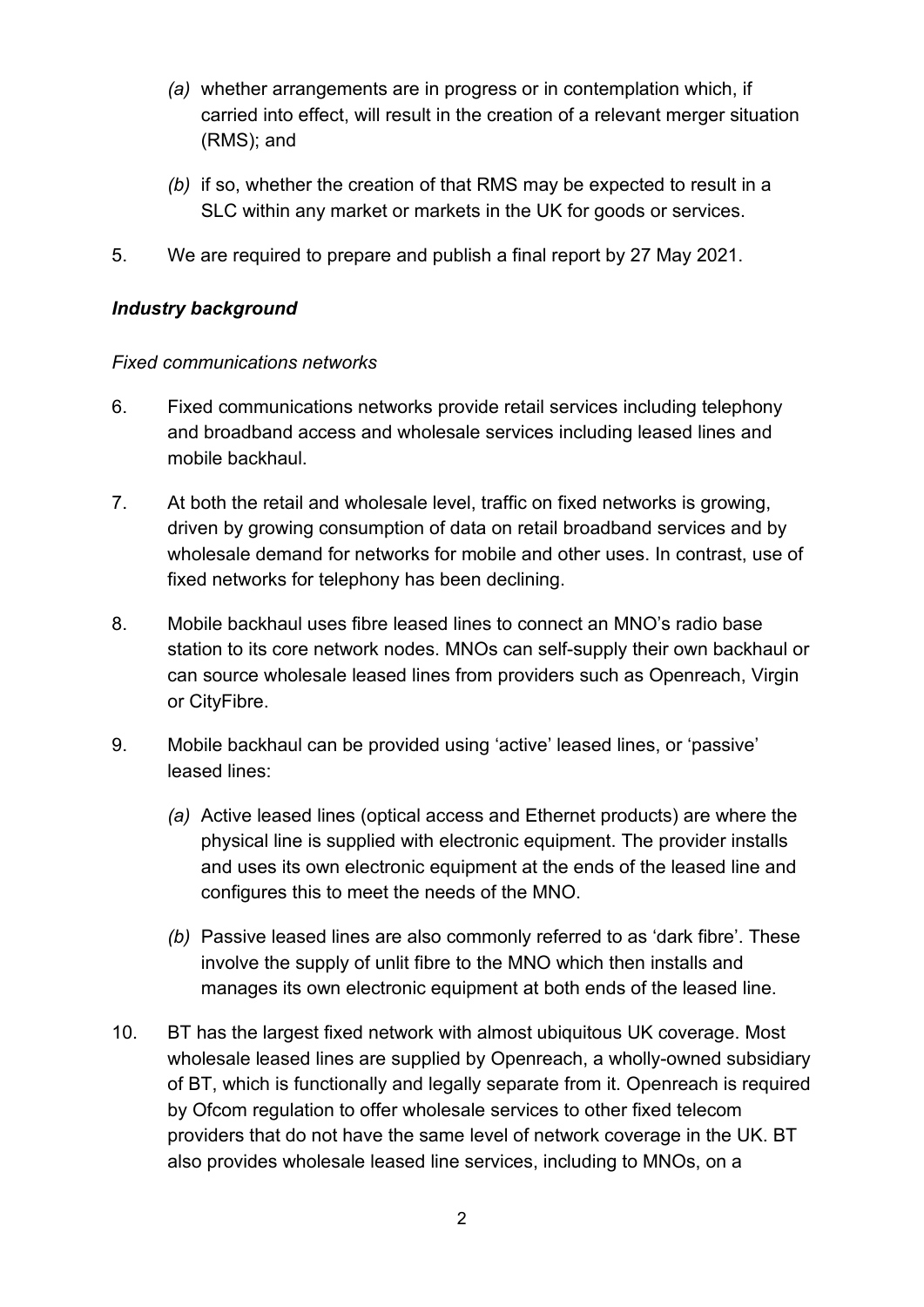- *(a)* whether arrangements are in progress or in contemplation which, if carried into effect, will result in the creation of a relevant merger situation (RMS); and
- *(b)* if so, whether the creation of that RMS may be expected to result in a SLC within any market or markets in the UK for goods or services.
- 5. We are required to prepare and publish a final report by 27 May 2021.

#### *Industry background*

#### *Fixed communications networks*

- 6. Fixed communications networks provide retail services including telephony and broadband access and wholesale services including leased lines and mobile backhaul.
- 7. At both the retail and wholesale level, traffic on fixed networks is growing, driven by growing consumption of data on retail broadband services and by wholesale demand for networks for mobile and other uses. In contrast, use of fixed networks for telephony has been declining.
- 8. Mobile backhaul uses fibre leased lines to connect an MNO's radio base station to its core network nodes. MNOs can self-supply their own backhaul or can source wholesale leased lines from providers such as Openreach, Virgin or CityFibre.
- 9. Mobile backhaul can be provided using 'active' leased lines, or 'passive' leased lines:
	- *(a)* Active leased lines (optical access and Ethernet products) are where the physical line is supplied with electronic equipment. The provider installs and uses its own electronic equipment at the ends of the leased line and configures this to meet the needs of the MNO.
	- *(b)* Passive leased lines are also commonly referred to as 'dark fibre'. These involve the supply of unlit fibre to the MNO which then installs and manages its own electronic equipment at both ends of the leased line.
- 10. BT has the largest fixed network with almost ubiquitous UK coverage. Most wholesale leased lines are supplied by Openreach, a wholly-owned subsidiary of BT, which is functionally and legally separate from it. Openreach is required by Ofcom regulation to offer wholesale services to other fixed telecom providers that do not have the same level of network coverage in the UK. BT also provides wholesale leased line services, including to MNOs, on a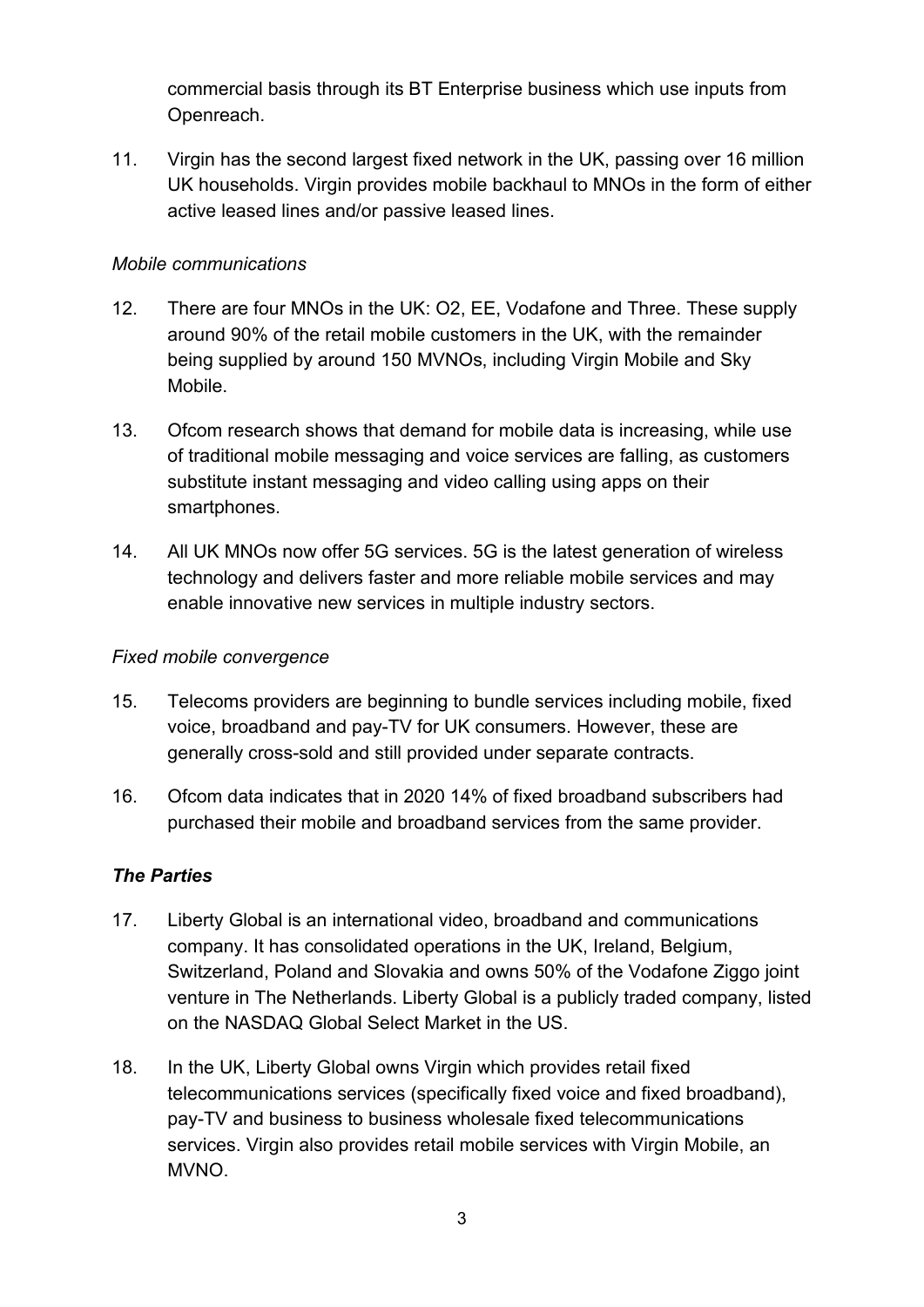commercial basis through its BT Enterprise business which use inputs from Openreach.

11. Virgin has the second largest fixed network in the UK, passing over 16 million UK households. Virgin provides mobile backhaul to MNOs in the form of either active leased lines and/or passive leased lines.

#### *Mobile communications*

- 12. There are four MNOs in the UK: O2, EE, Vodafone and Three. These supply around 90% of the retail mobile customers in the UK, with the remainder being supplied by around 150 MVNOs, including Virgin Mobile and Sky Mobile.
- 13. Ofcom research shows that demand for mobile data is increasing, while use of traditional mobile messaging and voice services are falling, as customers substitute instant messaging and video calling using apps on their smartphones.
- 14. All UK MNOs now offer 5G services. 5G is the latest generation of wireless technology and delivers faster and more reliable mobile services and may enable innovative new services in multiple industry sectors.

#### *Fixed mobile convergence*

- 15. Telecoms providers are beginning to bundle services including mobile, fixed voice, broadband and pay-TV for UK consumers. However, these are generally cross-sold and still provided under separate contracts.
- 16. Ofcom data indicates that in 2020 14% of fixed broadband subscribers had purchased their mobile and broadband services from the same provider.

#### *The Parties*

- 17. Liberty Global is an international video, broadband and communications company. It has consolidated operations in the UK, Ireland, Belgium, Switzerland, Poland and Slovakia and owns 50% of the Vodafone Ziggo joint venture in The Netherlands. Liberty Global is a publicly traded company, listed on the NASDAQ Global Select Market in the US.
- 18. In the UK, Liberty Global owns Virgin which provides retail fixed telecommunications services (specifically fixed voice and fixed broadband), pay-TV and business to business wholesale fixed telecommunications services. Virgin also provides retail mobile services with Virgin Mobile, an MVNO.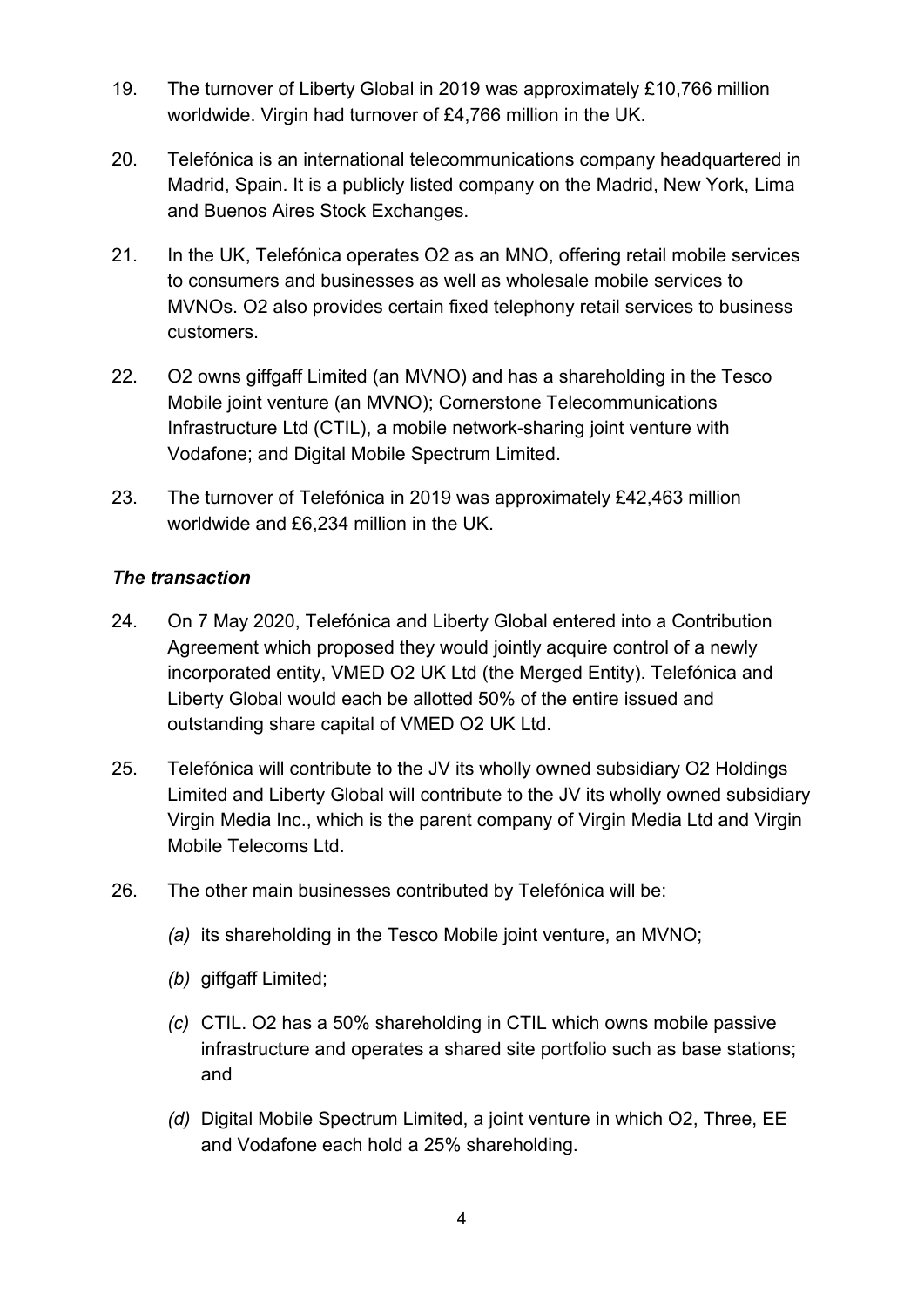- 19. The turnover of Liberty Global in 2019 was approximately £10,766 million worldwide. Virgin had turnover of £4,766 million in the UK.
- 20. Telefónica is an international telecommunications company headquartered in Madrid, Spain. It is a publicly listed company on the Madrid, New York, Lima and Buenos Aires Stock Exchanges.
- 21. In the UK, Telefónica operates O2 as an MNO, offering retail mobile services to consumers and businesses as well as wholesale mobile services to MVNOs. O2 also provides certain fixed telephony retail services to business customers.
- 22. O2 owns giffgaff Limited (an MVNO) and has a shareholding in the Tesco Mobile joint venture (an MVNO); Cornerstone Telecommunications Infrastructure Ltd (CTIL), a mobile network-sharing joint venture with Vodafone; and Digital Mobile Spectrum Limited.
- 23. The turnover of Telefónica in 2019 was approximately £42,463 million worldwide and £6,234 million in the UK.

#### *The transaction*

- 24. On 7 May 2020, Telefónica and Liberty Global entered into a Contribution Agreement which proposed they would jointly acquire control of a newly incorporated entity, VMED O2 UK Ltd (the Merged Entity). Telefónica and Liberty Global would each be allotted 50% of the entire issued and outstanding share capital of VMED O2 UK Ltd.
- 25. Telefónica will contribute to the JV its wholly owned subsidiary O2 Holdings Limited and Liberty Global will contribute to the JV its wholly owned subsidiary Virgin Media Inc., which is the parent company of Virgin Media Ltd and Virgin Mobile Telecoms Ltd.
- 26. The other main businesses contributed by Telefónica will be:
	- *(a)* its shareholding in the Tesco Mobile joint venture, an MVNO;
	- *(b)* giffgaff Limited;
	- *(c)* CTIL. O2 has a 50% shareholding in CTIL which owns mobile passive infrastructure and operates a shared site portfolio such as base stations; and
	- *(d)* Digital Mobile Spectrum Limited, a joint venture in which O2, Three, EE and Vodafone each hold a 25% shareholding.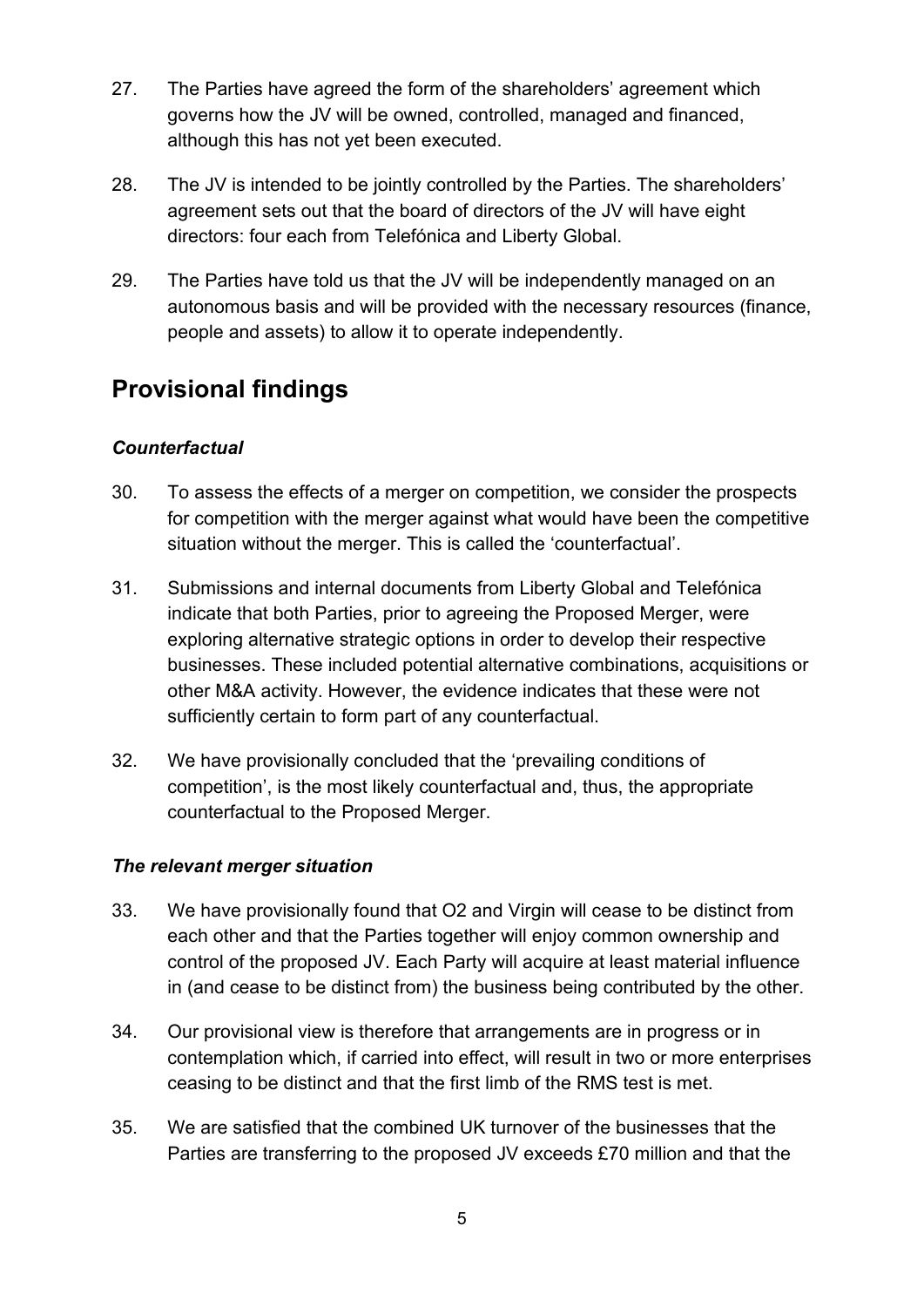- 27. The Parties have agreed the form of the shareholders' agreement which governs how the JV will be owned, controlled, managed and financed, although this has not yet been executed.
- 28. The JV is intended to be jointly controlled by the Parties. The shareholders' agreement sets out that the board of directors of the JV will have eight directors: four each from Telefónica and Liberty Global.
- 29. The Parties have told us that the JV will be independently managed on an autonomous basis and will be provided with the necessary resources (finance, people and assets) to allow it to operate independently.

## **Provisional findings**

### *Counterfactual*

- 30. To assess the effects of a merger on competition, we consider the prospects for competition with the merger against what would have been the competitive situation without the merger. This is called the 'counterfactual'.
- 31. Submissions and internal documents from Liberty Global and Telefónica indicate that both Parties, prior to agreeing the Proposed Merger, were exploring alternative strategic options in order to develop their respective businesses. These included potential alternative combinations, acquisitions or other M&A activity. However, the evidence indicates that these were not sufficiently certain to form part of any counterfactual.
- 32. We have provisionally concluded that the 'prevailing conditions of competition', is the most likely counterfactual and, thus, the appropriate counterfactual to the Proposed Merger.

#### *The relevant merger situation*

- 33. We have provisionally found that O2 and Virgin will cease to be distinct from each other and that the Parties together will enjoy common ownership and control of the proposed JV. Each Party will acquire at least material influence in (and cease to be distinct from) the business being contributed by the other.
- 34. Our provisional view is therefore that arrangements are in progress or in contemplation which, if carried into effect, will result in two or more enterprises ceasing to be distinct and that the first limb of the RMS test is met.
- 35. We are satisfied that the combined UK turnover of the businesses that the Parties are transferring to the proposed JV exceeds £70 million and that the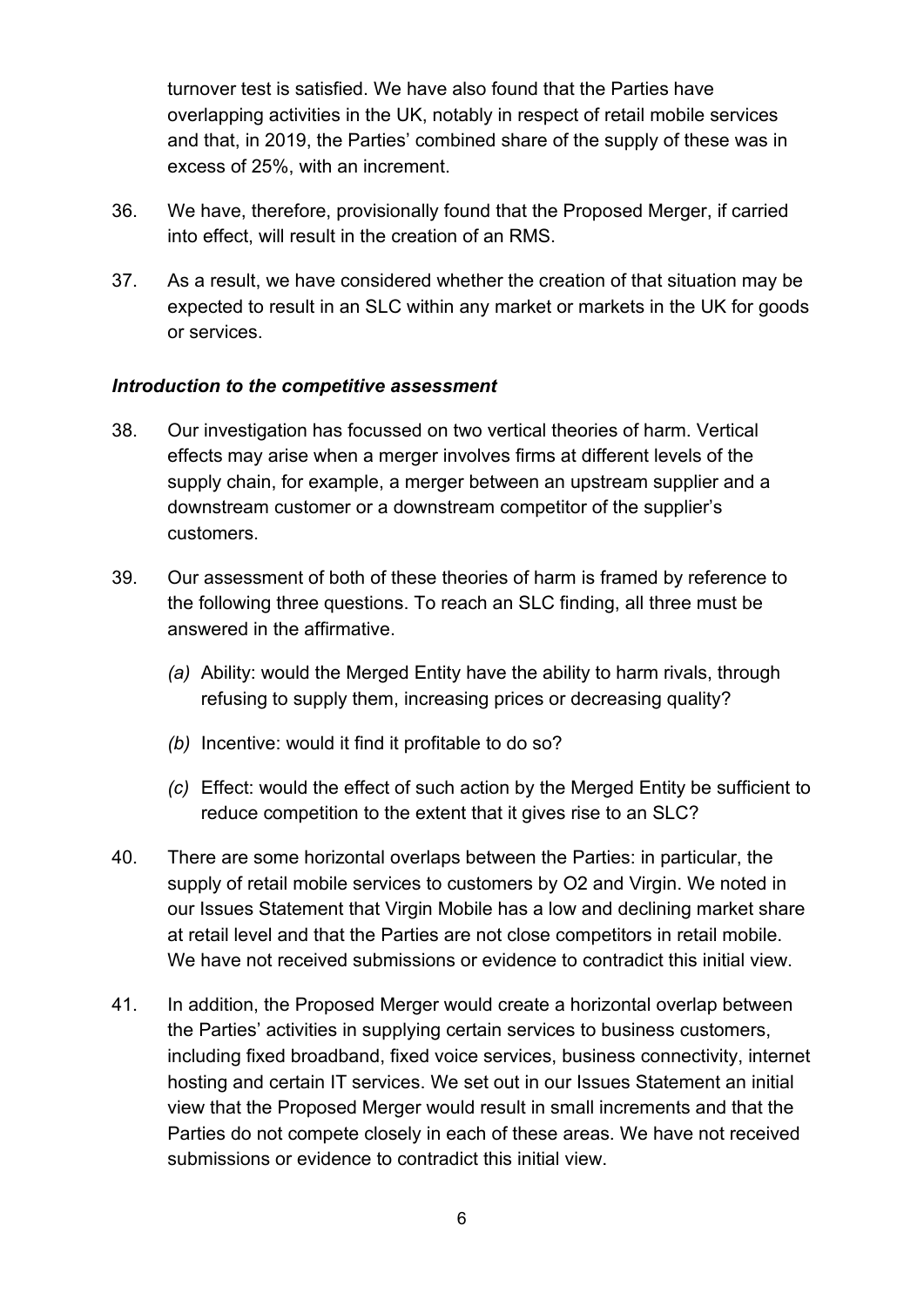turnover test is satisfied. We have also found that the Parties have overlapping activities in the UK, notably in respect of retail mobile services and that, in 2019, the Parties' combined share of the supply of these was in excess of 25%, with an increment.

- 36. We have, therefore, provisionally found that the Proposed Merger, if carried into effect, will result in the creation of an RMS.
- 37. As a result, we have considered whether the creation of that situation may be expected to result in an SLC within any market or markets in the UK for goods or services.

#### *Introduction to the competitive assessment*

- 38. Our investigation has focussed on two vertical theories of harm. Vertical effects may arise when a merger involves firms at different levels of the supply chain, for example, a merger between an upstream supplier and a downstream customer or a downstream competitor of the supplier's customers.
- 39. Our assessment of both of these theories of harm is framed by reference to the following three questions. To reach an SLC finding, all three must be answered in the affirmative.
	- *(a)* Ability: would the Merged Entity have the ability to harm rivals, through refusing to supply them, increasing prices or decreasing quality?
	- *(b)* Incentive: would it find it profitable to do so?
	- *(c)* Effect: would the effect of such action by the Merged Entity be sufficient to reduce competition to the extent that it gives rise to an SLC?
- 40. There are some horizontal overlaps between the Parties: in particular, the supply of retail mobile services to customers by O2 and Virgin. We noted in our Issues Statement that Virgin Mobile has a low and declining market share at retail level and that the Parties are not close competitors in retail mobile. We have not received submissions or evidence to contradict this initial view.
- 41. In addition, the Proposed Merger would create a horizontal overlap between the Parties' activities in supplying certain services to business customers, including fixed broadband, fixed voice services, business connectivity, internet hosting and certain IT services. We set out in our Issues Statement an initial view that the Proposed Merger would result in small increments and that the Parties do not compete closely in each of these areas. We have not received submissions or evidence to contradict this initial view.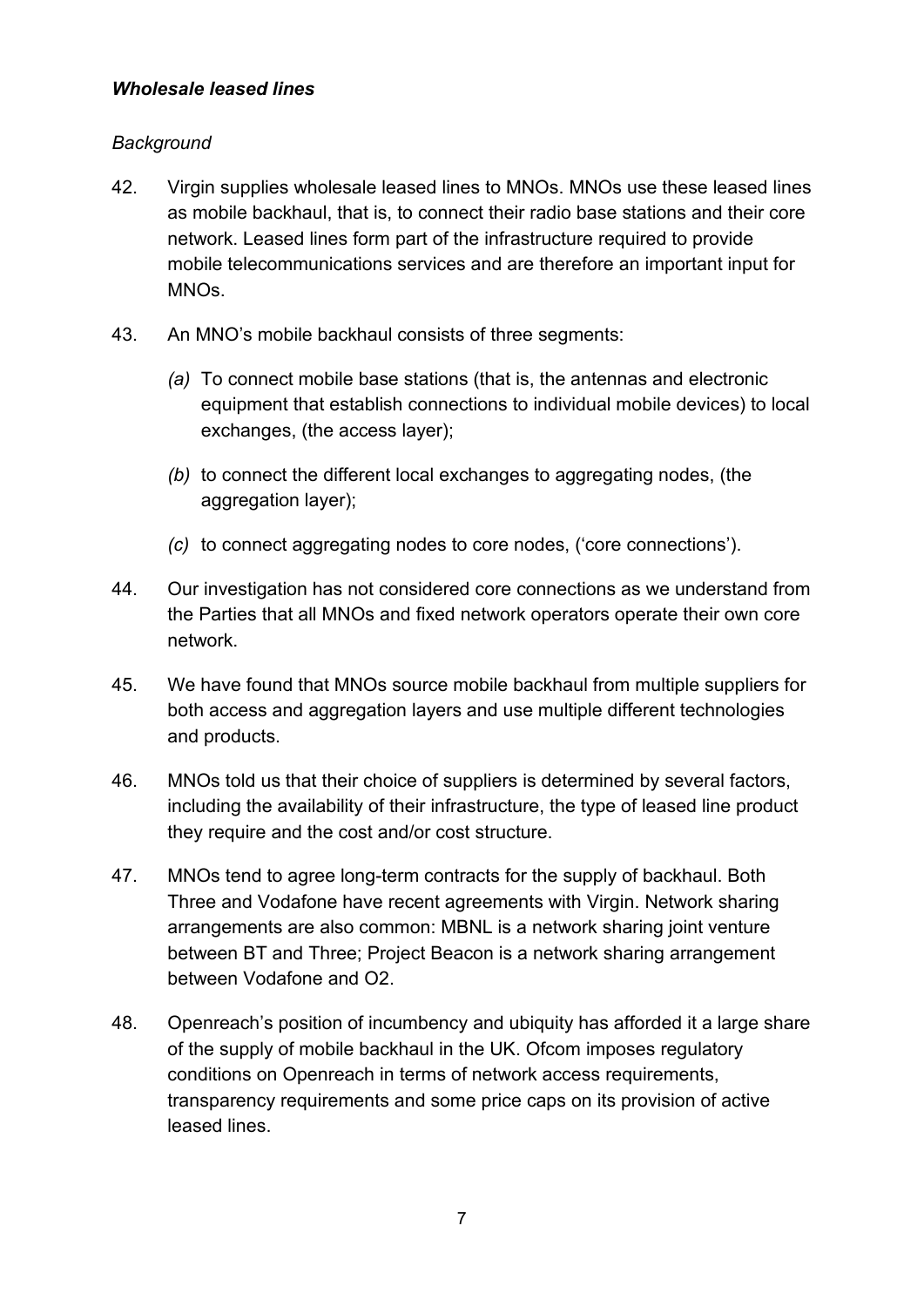#### *Wholesale leased lines*

### *Background*

- 42. Virgin supplies wholesale leased lines to MNOs. MNOs use these leased lines as mobile backhaul, that is, to connect their radio base stations and their core network. Leased lines form part of the infrastructure required to provide mobile telecommunications services and are therefore an important input for MNOs.
- 43. An MNO's mobile backhaul consists of three segments:
	- *(a)* To connect mobile base stations (that is, the antennas and electronic equipment that establish connections to individual mobile devices) to local exchanges, (the access layer);
	- *(b)* to connect the different local exchanges to aggregating nodes, (the aggregation layer);
	- *(c)* to connect aggregating nodes to core nodes, ('core connections').
- 44. Our investigation has not considered core connections as we understand from the Parties that all MNOs and fixed network operators operate their own core network.
- 45. We have found that MNOs source mobile backhaul from multiple suppliers for both access and aggregation layers and use multiple different technologies and products.
- 46. MNOs told us that their choice of suppliers is determined by several factors, including the availability of their infrastructure, the type of leased line product they require and the cost and/or cost structure.
- 47. MNOs tend to agree long-term contracts for the supply of backhaul. Both Three and Vodafone have recent agreements with Virgin. Network sharing arrangements are also common: MBNL is a network sharing joint venture between BT and Three; Project Beacon is a network sharing arrangement between Vodafone and O2.
- 48. Openreach's position of incumbency and ubiquity has afforded it a large share of the supply of mobile backhaul in the UK. Ofcom imposes regulatory conditions on Openreach in terms of network access requirements, transparency requirements and some price caps on its provision of active leased lines.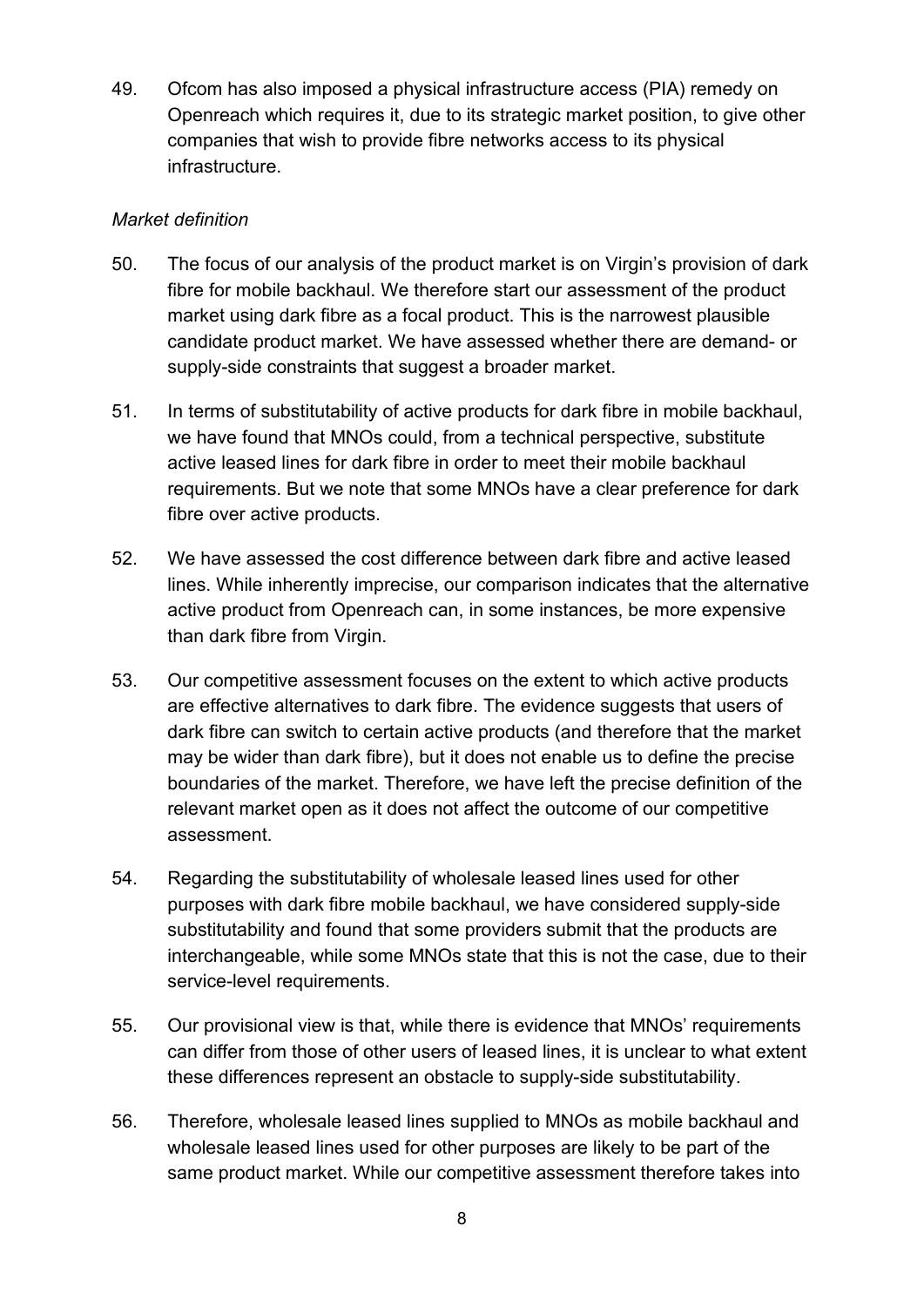49. Ofcom has also imposed a physical infrastructure access (PIA) remedy on Openreach which requires it, due to its strategic market position, to give other companies that wish to provide fibre networks access to its physical infrastructure.

#### *Market definition*

- 50. The focus of our analysis of the product market is on Virgin's provision of dark fibre for mobile backhaul. We therefore start our assessment of the product market using dark fibre as a focal product. This is the narrowest plausible candidate product market. We have assessed whether there are demand- or supply-side constraints that suggest a broader market.
- 51. In terms of substitutability of active products for dark fibre in mobile backhaul, we have found that MNOs could, from a technical perspective, substitute active leased lines for dark fibre in order to meet their mobile backhaul requirements. But we note that some MNOs have a clear preference for dark fibre over active products.
- 52. We have assessed the cost difference between dark fibre and active leased lines. While inherently imprecise, our comparison indicates that the alternative active product from Openreach can, in some instances, be more expensive than dark fibre from Virgin.
- 53. Our competitive assessment focuses on the extent to which active products are effective alternatives to dark fibre. The evidence suggests that users of dark fibre can switch to certain active products (and therefore that the market may be wider than dark fibre), but it does not enable us to define the precise boundaries of the market. Therefore, we have left the precise definition of the relevant market open as it does not affect the outcome of our competitive assessment.
- 54. Regarding the substitutability of wholesale leased lines used for other purposes with dark fibre mobile backhaul, we have considered supply-side substitutability and found that some providers submit that the products are interchangeable, while some MNOs state that this is not the case, due to their service-level requirements.
- 55. Our provisional view is that, while there is evidence that MNOs' requirements can differ from those of other users of leased lines, it is unclear to what extent these differences represent an obstacle to supply-side substitutability.
- 56. Therefore, wholesale leased lines supplied to MNOs as mobile backhaul and wholesale leased lines used for other purposes are likely to be part of the same product market. While our competitive assessment therefore takes into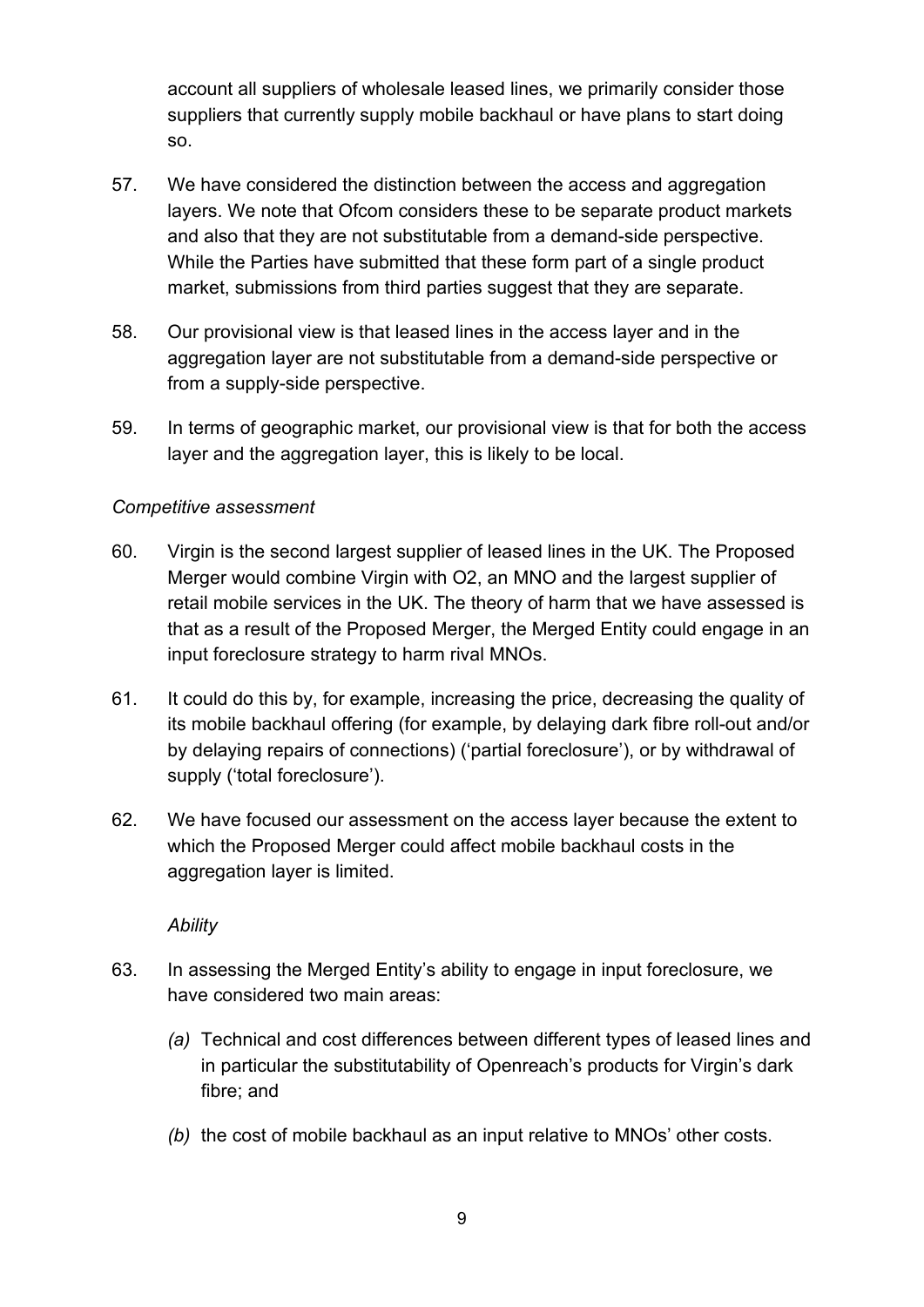account all suppliers of wholesale leased lines, we primarily consider those suppliers that currently supply mobile backhaul or have plans to start doing so.

- 57. We have considered the distinction between the access and aggregation layers. We note that Ofcom considers these to be separate product markets and also that they are not substitutable from a demand-side perspective. While the Parties have submitted that these form part of a single product market, submissions from third parties suggest that they are separate.
- 58. Our provisional view is that leased lines in the access layer and in the aggregation layer are not substitutable from a demand-side perspective or from a supply-side perspective.
- 59. In terms of geographic market, our provisional view is that for both the access layer and the aggregation layer, this is likely to be local.

#### *Competitive assessment*

- 60. Virgin is the second largest supplier of leased lines in the UK. The Proposed Merger would combine Virgin with O2, an MNO and the largest supplier of retail mobile services in the UK. The theory of harm that we have assessed is that as a result of the Proposed Merger, the Merged Entity could engage in an input foreclosure strategy to harm rival MNOs.
- 61. It could do this by, for example, increasing the price, decreasing the quality of its mobile backhaul offering (for example, by delaying dark fibre roll-out and/or by delaying repairs of connections) ('partial foreclosure'), or by withdrawal of supply ('total foreclosure').
- 62. We have focused our assessment on the access layer because the extent to which the Proposed Merger could affect mobile backhaul costs in the aggregation layer is limited.

*Ability*

- 63. In assessing the Merged Entity's ability to engage in input foreclosure, we have considered two main areas:
	- *(a)* Technical and cost differences between different types of leased lines and in particular the substitutability of Openreach's products for Virgin's dark fibre; and
	- *(b)* the cost of mobile backhaul as an input relative to MNOs' other costs.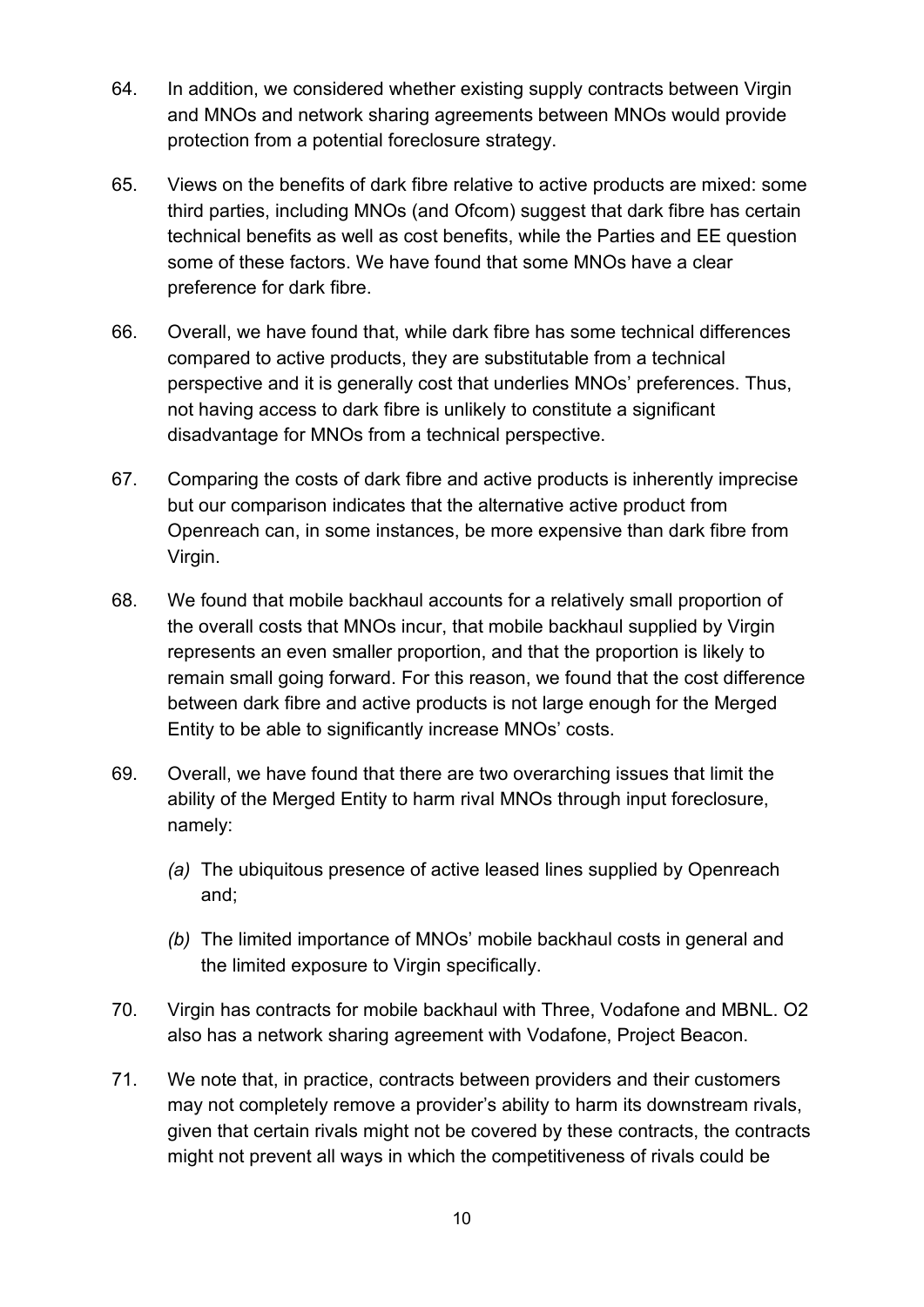- 64. In addition, we considered whether existing supply contracts between Virgin and MNOs and network sharing agreements between MNOs would provide protection from a potential foreclosure strategy.
- 65. Views on the benefits of dark fibre relative to active products are mixed: some third parties, including MNOs (and Ofcom) suggest that dark fibre has certain technical benefits as well as cost benefits, while the Parties and EE question some of these factors. We have found that some MNOs have a clear preference for dark fibre.
- 66. Overall, we have found that, while dark fibre has some technical differences compared to active products, they are substitutable from a technical perspective and it is generally cost that underlies MNOs' preferences. Thus, not having access to dark fibre is unlikely to constitute a significant disadvantage for MNOs from a technical perspective.
- 67. Comparing the costs of dark fibre and active products is inherently imprecise but our comparison indicates that the alternative active product from Openreach can, in some instances, be more expensive than dark fibre from Virgin.
- 68. We found that mobile backhaul accounts for a relatively small proportion of the overall costs that MNOs incur, that mobile backhaul supplied by Virgin represents an even smaller proportion, and that the proportion is likely to remain small going forward. For this reason, we found that the cost difference between dark fibre and active products is not large enough for the Merged Entity to be able to significantly increase MNOs' costs.
- 69. Overall, we have found that there are two overarching issues that limit the ability of the Merged Entity to harm rival MNOs through input foreclosure, namely:
	- *(a)* The ubiquitous presence of active leased lines supplied by Openreach and;
	- *(b)* The limited importance of MNOs' mobile backhaul costs in general and the limited exposure to Virgin specifically.
- 70. Virgin has contracts for mobile backhaul with Three, Vodafone and MBNL. O2 also has a network sharing agreement with Vodafone, Project Beacon.
- 71. We note that, in practice, contracts between providers and their customers may not completely remove a provider's ability to harm its downstream rivals, given that certain rivals might not be covered by these contracts, the contracts might not prevent all ways in which the competitiveness of rivals could be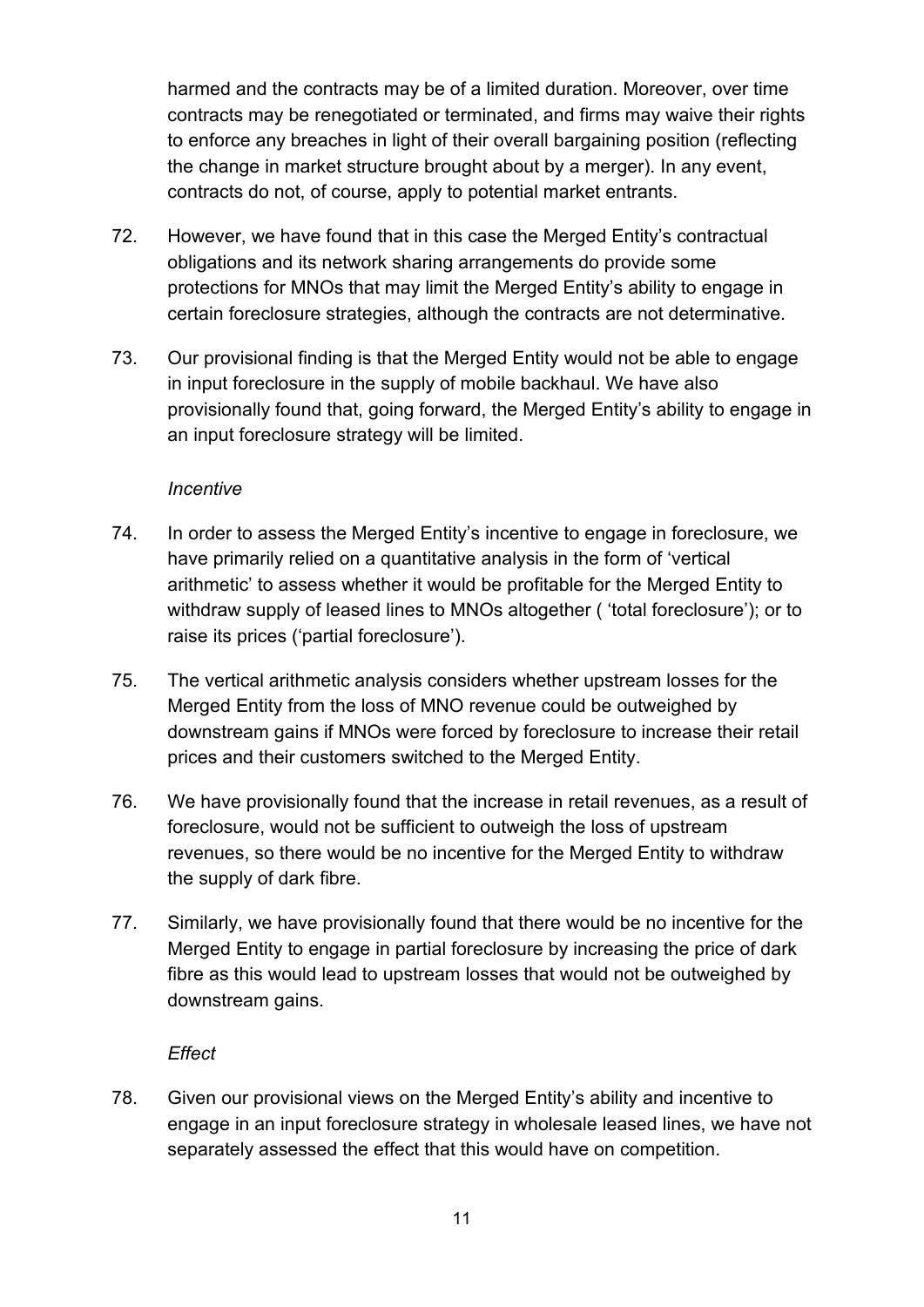harmed and the contracts may be of a limited duration. Moreover, over time contracts may be renegotiated or terminated, and firms may waive their rights to enforce any breaches in light of their overall bargaining position (reflecting the change in market structure brought about by a merger). In any event, contracts do not, of course, apply to potential market entrants.

- 72. However, we have found that in this case the Merged Entity's contractual obligations and its network sharing arrangements do provide some protections for MNOs that may limit the Merged Entity's ability to engage in certain foreclosure strategies, although the contracts are not determinative.
- 73. Our provisional finding is that the Merged Entity would not be able to engage in input foreclosure in the supply of mobile backhaul. We have also provisionally found that, going forward, the Merged Entity's ability to engage in an input foreclosure strategy will be limited.

#### *Incentive*

- 74. In order to assess the Merged Entity's incentive to engage in foreclosure, we have primarily relied on a quantitative analysis in the form of 'vertical arithmetic' to assess whether it would be profitable for the Merged Entity to withdraw supply of leased lines to MNOs altogether ( 'total foreclosure'); or to raise its prices ('partial foreclosure').
- 75. The vertical arithmetic analysis considers whether upstream losses for the Merged Entity from the loss of MNO revenue could be outweighed by downstream gains if MNOs were forced by foreclosure to increase their retail prices and their customers switched to the Merged Entity.
- 76. We have provisionally found that the increase in retail revenues, as a result of foreclosure, would not be sufficient to outweigh the loss of upstream revenues, so there would be no incentive for the Merged Entity to withdraw the supply of dark fibre.
- 77. Similarly, we have provisionally found that there would be no incentive for the Merged Entity to engage in partial foreclosure by increasing the price of dark fibre as this would lead to upstream losses that would not be outweighed by downstream gains.

#### *Effect*

78. Given our provisional views on the Merged Entity's ability and incentive to engage in an input foreclosure strategy in wholesale leased lines, we have not separately assessed the effect that this would have on competition.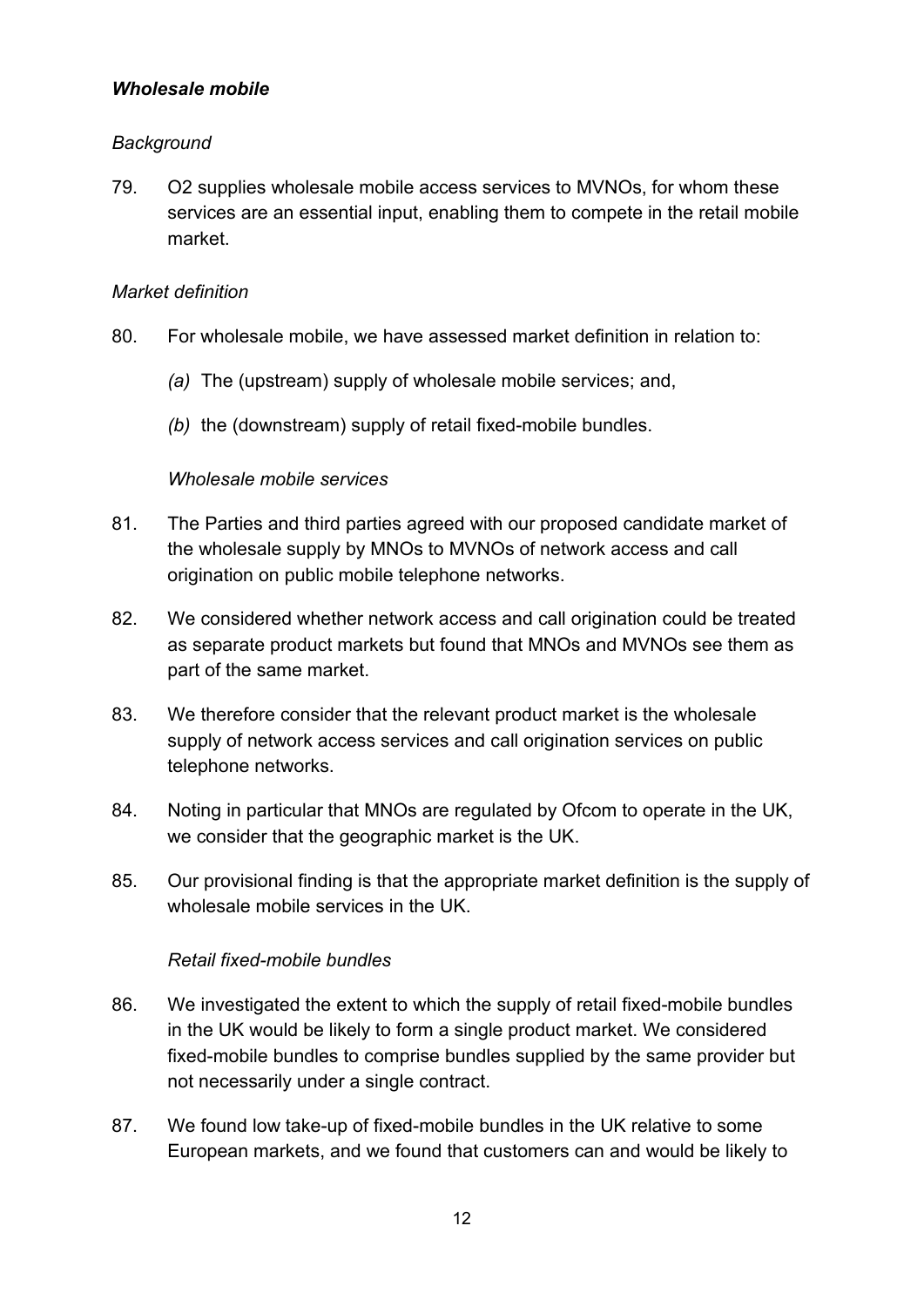#### *Wholesale mobile*

#### *Background*

79. O2 supplies wholesale mobile access services to MVNOs, for whom these services are an essential input, enabling them to compete in the retail mobile market.

#### *Market definition*

- 80. For wholesale mobile, we have assessed market definition in relation to:
	- *(a)* The (upstream) supply of wholesale mobile services; and,
	- *(b)* the (downstream) supply of retail fixed-mobile bundles.

#### *Wholesale mobile services*

- 81. The Parties and third parties agreed with our proposed candidate market of the wholesale supply by MNOs to MVNOs of network access and call origination on public mobile telephone networks.
- 82. We considered whether network access and call origination could be treated as separate product markets but found that MNOs and MVNOs see them as part of the same market.
- 83. We therefore consider that the relevant product market is the wholesale supply of network access services and call origination services on public telephone networks.
- 84. Noting in particular that MNOs are regulated by Ofcom to operate in the UK, we consider that the geographic market is the UK.
- 85. Our provisional finding is that the appropriate market definition is the supply of wholesale mobile services in the UK.

#### *Retail fixed-mobile bundles*

- 86. We investigated the extent to which the supply of retail fixed-mobile bundles in the UK would be likely to form a single product market. We considered fixed-mobile bundles to comprise bundles supplied by the same provider but not necessarily under a single contract.
- 87. We found low take-up of fixed-mobile bundles in the UK relative to some European markets, and we found that customers can and would be likely to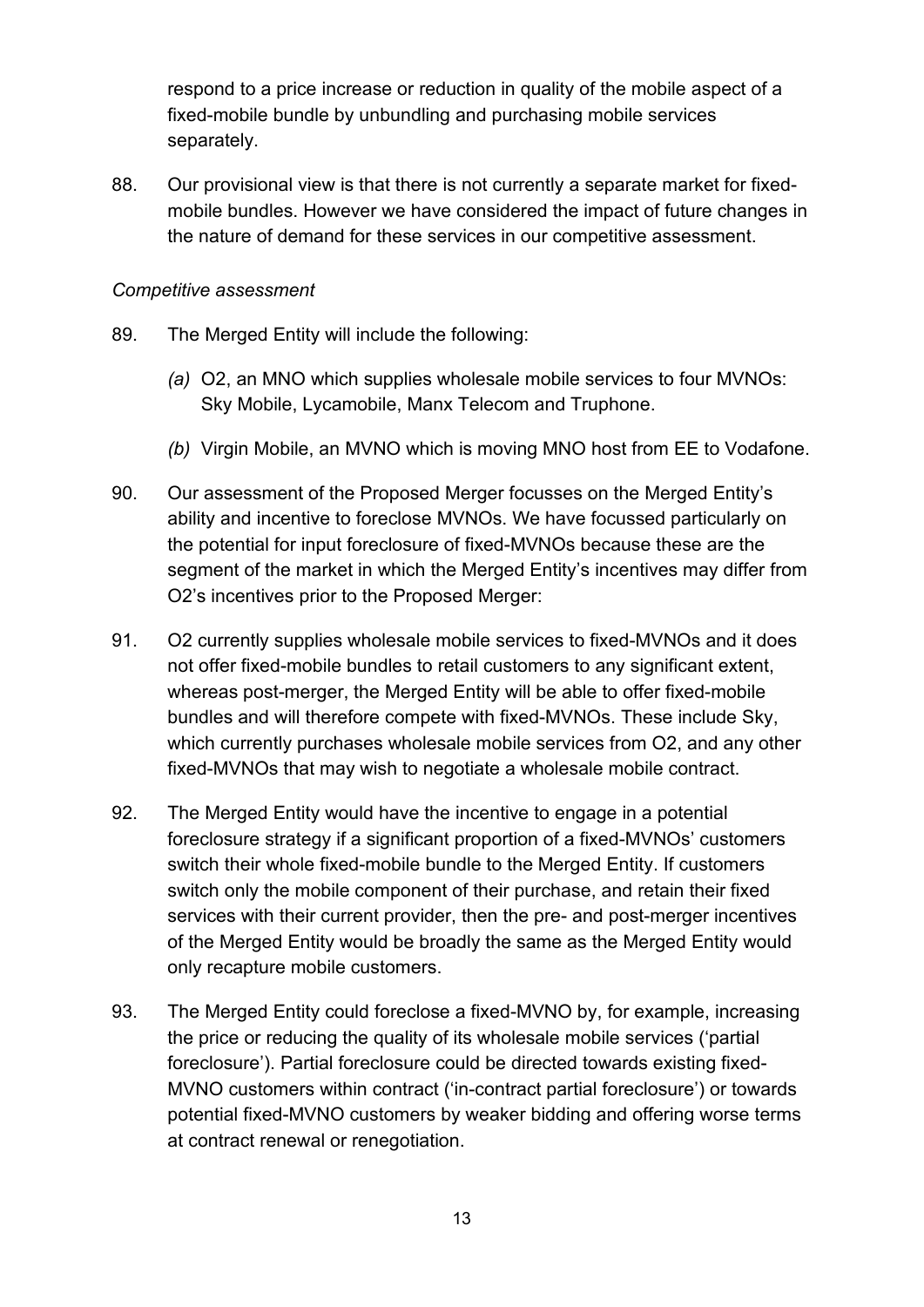respond to a price increase or reduction in quality of the mobile aspect of a fixed-mobile bundle by unbundling and purchasing mobile services separately.

88. Our provisional view is that there is not currently a separate market for fixedmobile bundles. However we have considered the impact of future changes in the nature of demand for these services in our competitive assessment.

#### *Competitive assessment*

- 89. The Merged Entity will include the following:
	- *(a)* O2, an MNO which supplies wholesale mobile services to four MVNOs: Sky Mobile, Lycamobile, Manx Telecom and Truphone.
	- *(b)* Virgin Mobile, an MVNO which is moving MNO host from EE to Vodafone.
- 90. Our assessment of the Proposed Merger focusses on the Merged Entity's ability and incentive to foreclose MVNOs. We have focussed particularly on the potential for input foreclosure of fixed-MVNOs because these are the segment of the market in which the Merged Entity's incentives may differ from O2's incentives prior to the Proposed Merger:
- 91. O2 currently supplies wholesale mobile services to fixed-MVNOs and it does not offer fixed-mobile bundles to retail customers to any significant extent, whereas post-merger, the Merged Entity will be able to offer fixed-mobile bundles and will therefore compete with fixed-MVNOs. These include Sky, which currently purchases wholesale mobile services from O2, and any other fixed-MVNOs that may wish to negotiate a wholesale mobile contract.
- 92. The Merged Entity would have the incentive to engage in a potential foreclosure strategy if a significant proportion of a fixed-MVNOs' customers switch their whole fixed-mobile bundle to the Merged Entity. If customers switch only the mobile component of their purchase, and retain their fixed services with their current provider, then the pre- and post-merger incentives of the Merged Entity would be broadly the same as the Merged Entity would only recapture mobile customers.
- 93. The Merged Entity could foreclose a fixed-MVNO by, for example, increasing the price or reducing the quality of its wholesale mobile services ('partial foreclosure'). Partial foreclosure could be directed towards existing fixed-MVNO customers within contract ('in-contract partial foreclosure') or towards potential fixed-MVNO customers by weaker bidding and offering worse terms at contract renewal or renegotiation.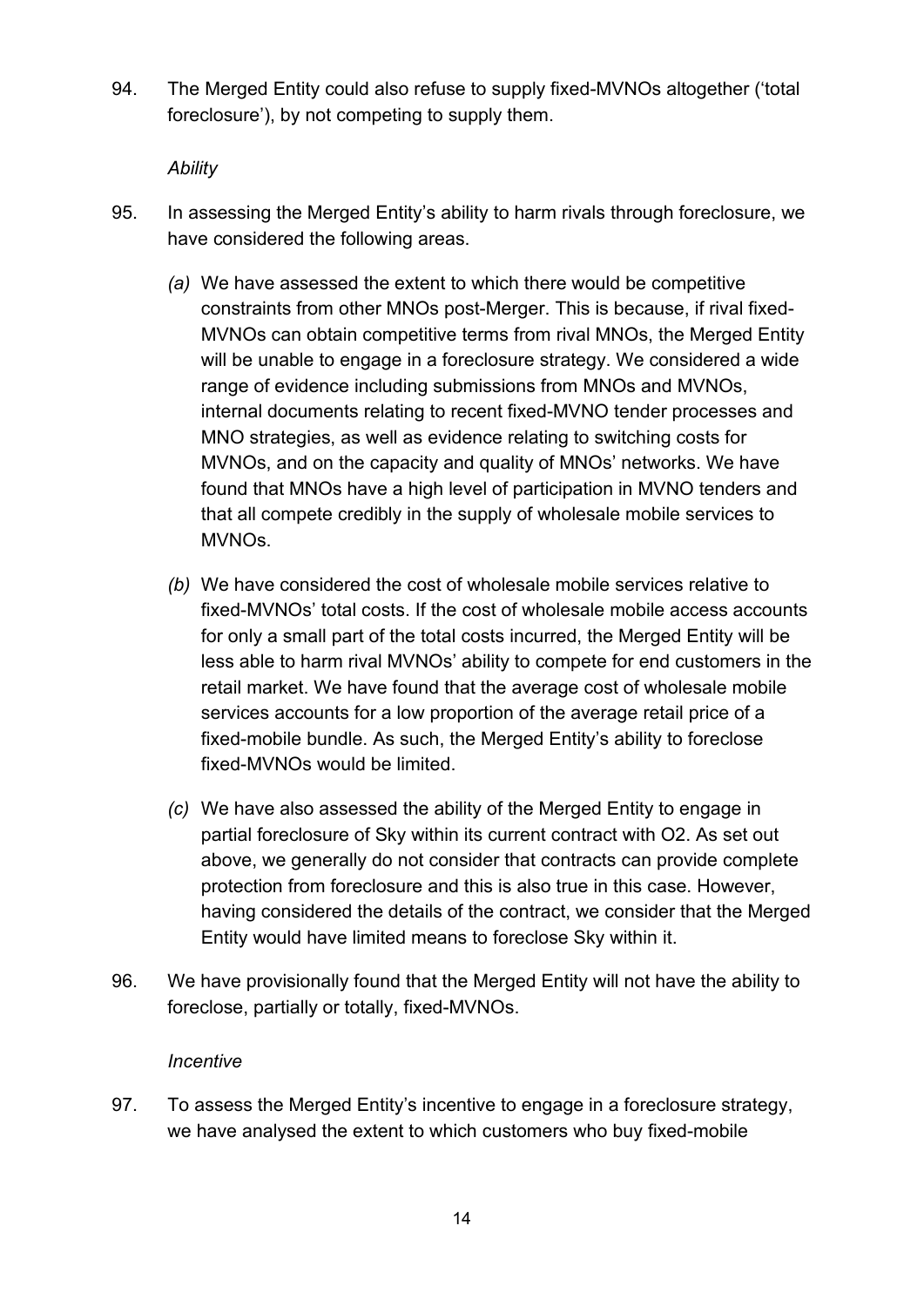94. The Merged Entity could also refuse to supply fixed-MVNOs altogether ('total foreclosure'), by not competing to supply them.

#### *Ability*

- 95. In assessing the Merged Entity's ability to harm rivals through foreclosure, we have considered the following areas.
	- *(a)* We have assessed the extent to which there would be competitive constraints from other MNOs post-Merger. This is because, if rival fixed-MVNOs can obtain competitive terms from rival MNOs, the Merged Entity will be unable to engage in a foreclosure strategy. We considered a wide range of evidence including submissions from MNOs and MVNOs, internal documents relating to recent fixed-MVNO tender processes and MNO strategies, as well as evidence relating to switching costs for MVNOs, and on the capacity and quality of MNOs' networks. We have found that MNOs have a high level of participation in MVNO tenders and that all compete credibly in the supply of wholesale mobile services to MVNOs.
	- *(b)* We have considered the cost of wholesale mobile services relative to fixed-MVNOs' total costs. If the cost of wholesale mobile access accounts for only a small part of the total costs incurred, the Merged Entity will be less able to harm rival MVNOs' ability to compete for end customers in the retail market. We have found that the average cost of wholesale mobile services accounts for a low proportion of the average retail price of a fixed-mobile bundle. As such, the Merged Entity's ability to foreclose fixed-MVNOs would be limited.
	- *(c)* We have also assessed the ability of the Merged Entity to engage in partial foreclosure of Sky within its current contract with O2. As set out above, we generally do not consider that contracts can provide complete protection from foreclosure and this is also true in this case. However, having considered the details of the contract, we consider that the Merged Entity would have limited means to foreclose Sky within it.
- 96. We have provisionally found that the Merged Entity will not have the ability to foreclose, partially or totally, fixed-MVNOs.

#### *Incentive*

97. To assess the Merged Entity's incentive to engage in a foreclosure strategy, we have analysed the extent to which customers who buy fixed-mobile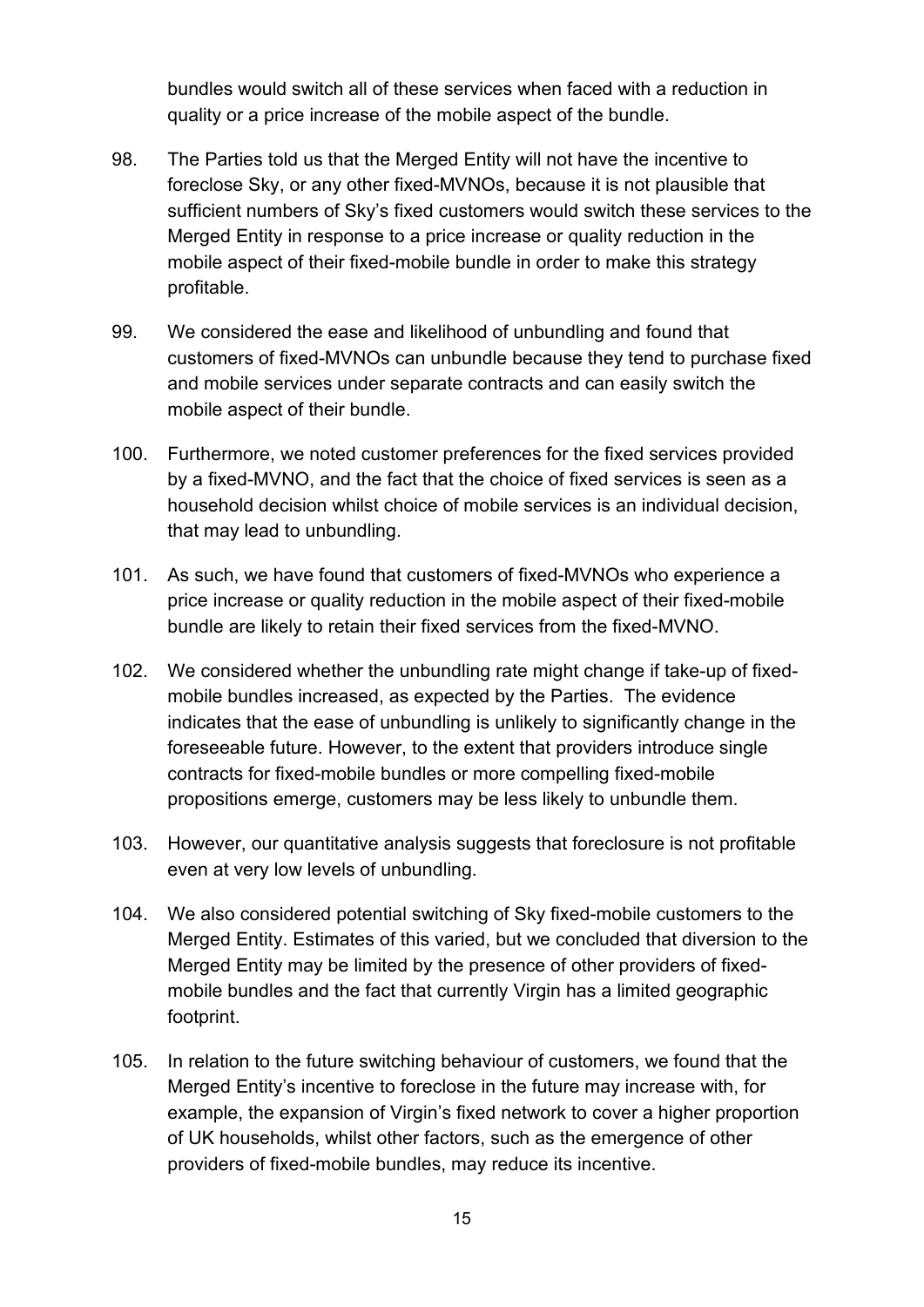bundles would switch all of these services when faced with a reduction in quality or a price increase of the mobile aspect of the bundle.

- 98. The Parties told us that the Merged Entity will not have the incentive to foreclose Sky, or any other fixed-MVNOs, because it is not plausible that sufficient numbers of Sky's fixed customers would switch these services to the Merged Entity in response to a price increase or quality reduction in the mobile aspect of their fixed-mobile bundle in order to make this strategy profitable.
- 99. We considered the ease and likelihood of unbundling and found that customers of fixed-MVNOs can unbundle because they tend to purchase fixed and mobile services under separate contracts and can easily switch the mobile aspect of their bundle.
- 100. Furthermore, we noted customer preferences for the fixed services provided by a fixed-MVNO, and the fact that the choice of fixed services is seen as a household decision whilst choice of mobile services is an individual decision, that may lead to unbundling.
- 101. As such, we have found that customers of fixed-MVNOs who experience a price increase or quality reduction in the mobile aspect of their fixed-mobile bundle are likely to retain their fixed services from the fixed-MVNO.
- 102. We considered whether the unbundling rate might change if take-up of fixedmobile bundles increased, as expected by the Parties. The evidence indicates that the ease of unbundling is unlikely to significantly change in the foreseeable future. However, to the extent that providers introduce single contracts for fixed-mobile bundles or more compelling fixed-mobile propositions emerge, customers may be less likely to unbundle them.
- 103. However, our quantitative analysis suggests that foreclosure is not profitable even at very low levels of unbundling.
- 104. We also considered potential switching of Sky fixed-mobile customers to the Merged Entity. Estimates of this varied, but we concluded that diversion to the Merged Entity may be limited by the presence of other providers of fixedmobile bundles and the fact that currently Virgin has a limited geographic footprint.
- 105. In relation to the future switching behaviour of customers, we found that the Merged Entity's incentive to foreclose in the future may increase with, for example, the expansion of Virgin's fixed network to cover a higher proportion of UK households, whilst other factors, such as the emergence of other providers of fixed-mobile bundles, may reduce its incentive.